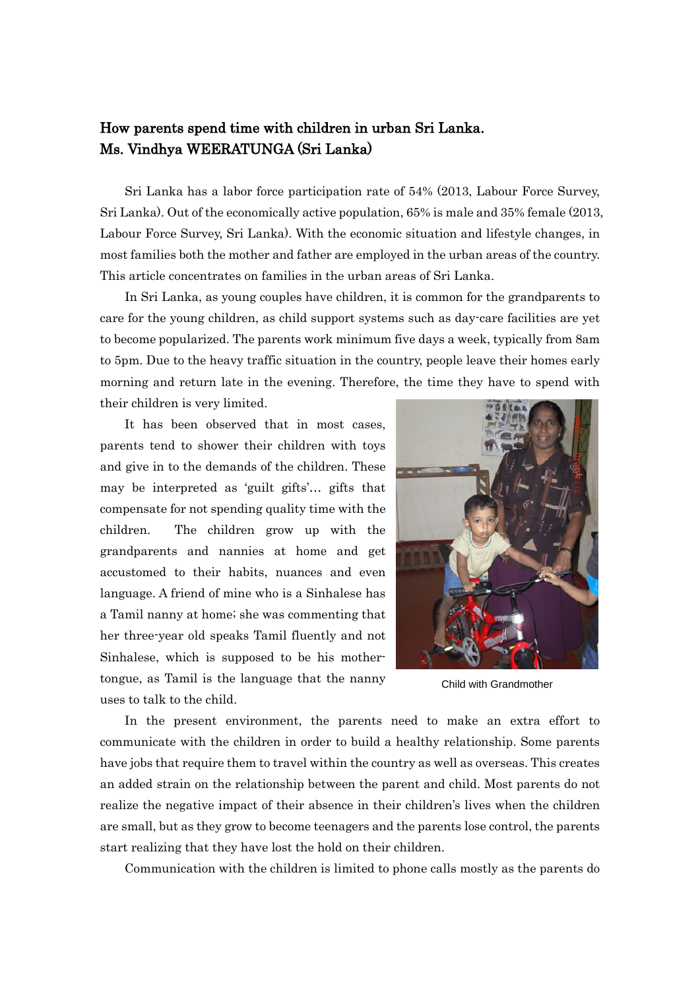## How parents spend time with children in urban Sri Lanka. Ms. Vindhya WEERATUNGA (Sri Lanka)

Sri Lanka has a labor force participation rate of 54% (2013, Labour Force Survey, Sri Lanka). Out of the economically active population, 65% is male and 35% female (2013, Labour Force Survey, Sri Lanka). With the economic situation and lifestyle changes, in most families both the mother and father are employed in the urban areas of the country. This article concentrates on families in the urban areas of Sri Lanka.

In Sri Lanka, as young couples have children, it is common for the grandparents to care for the young children, as child support systems such as day-care facilities are yet to become popularized. The parents work minimum five days a week, typically from 8am to 5pm. Due to the heavy traffic situation in the country, people leave their homes early morning and return late in the evening. Therefore, the time they have to spend with their children is very limited.

It has been observed that in most cases, parents tend to shower their children with toys and give in to the demands of the children. These may be interpreted as 'guilt gifts'… gifts that compensate for not spending quality time with the children. The children grow up with the grandparents and nannies at home and get accustomed to their habits, nuances and even language. A friend of mine who is a Sinhalese has a Tamil nanny at home; she was commenting that her three-year old speaks Tamil fluently and not Sinhalese, which is supposed to be his mothertongue, as Tamil is the language that the nanny uses to talk to the child.



Child with Grandmother

In the present environment, the parents need to make an extra effort to communicate with the children in order to build a healthy relationship. Some parents have jobs that require them to travel within the country as well as overseas. This creates an added strain on the relationship between the parent and child. Most parents do not realize the negative impact of their absence in their children's lives when the children are small, but as they grow to become teenagers and the parents lose control, the parents start realizing that they have lost the hold on their children.

Communication with the children is limited to phone calls mostly as the parents do